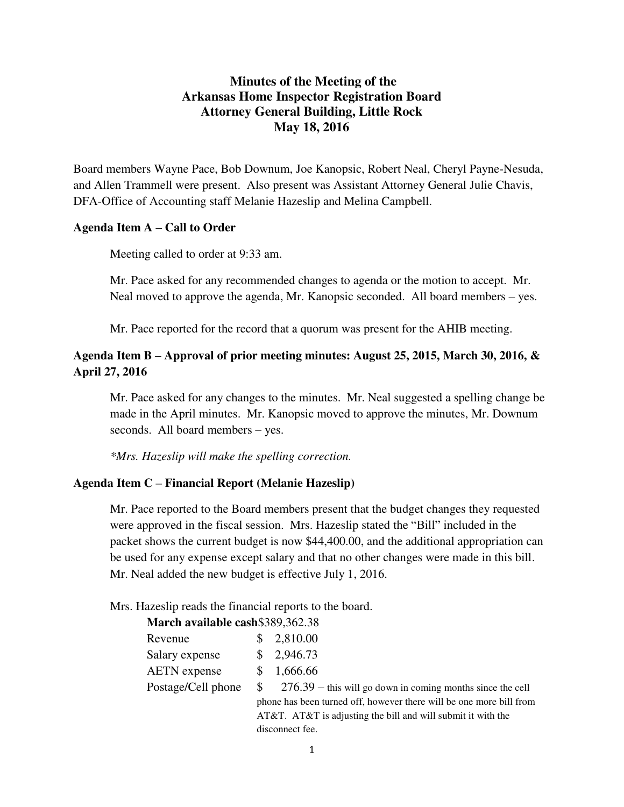## **Minutes of the Meeting of the Arkansas Home Inspector Registration Board Attorney General Building, Little Rock May 18, 2016**

Board members Wayne Pace, Bob Downum, Joe Kanopsic, Robert Neal, Cheryl Payne-Nesuda, and Allen Trammell were present. Also present was Assistant Attorney General Julie Chavis, DFA-Office of Accounting staff Melanie Hazeslip and Melina Campbell.

#### **Agenda Item A – Call to Order**

Meeting called to order at 9:33 am.

Mr. Pace asked for any recommended changes to agenda or the motion to accept. Mr. Neal moved to approve the agenda, Mr. Kanopsic seconded. All board members – yes.

Mr. Pace reported for the record that a quorum was present for the AHIB meeting.

## **Agenda Item B – Approval of prior meeting minutes: August 25, 2015, March 30, 2016, & April 27, 2016**

Mr. Pace asked for any changes to the minutes. Mr. Neal suggested a spelling change be made in the April minutes. Mr. Kanopsic moved to approve the minutes, Mr. Downum seconds. All board members – yes.

*\*Mrs. Hazeslip will make the spelling correction.* 

#### **Agenda Item C – Financial Report (Melanie Hazeslip)**

Mr. Pace reported to the Board members present that the budget changes they requested were approved in the fiscal session. Mrs. Hazeslip stated the "Bill" included in the packet shows the current budget is now \$44,400.00, and the additional appropriation can be used for any expense except salary and that no other changes were made in this bill. Mr. Neal added the new budget is effective July 1, 2016.

Mrs. Hazeslip reads the financial reports to the board.

**March available cash**\$389,362.38

| Revenue             |     | \$2,810.00      |
|---------------------|-----|-----------------|
| Salary expense      |     | \$2,946.73      |
| <b>AETN</b> expense | SS. | 1,666.66        |
| Postage/Cell phone  | \$. | $276.39 - this$ |

s will go down in coming months since the cell phone has been turned off, however there will be one more bill from AT&T. AT&T is adjusting the bill and will submit it with the disconnect fee.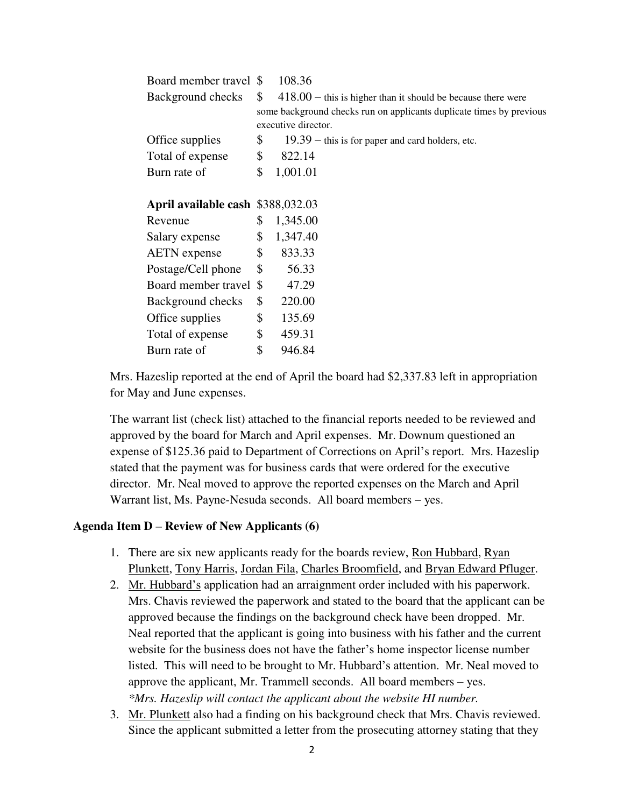| Board member travel \$            |                     | 108.36                                                               |  |
|-----------------------------------|---------------------|----------------------------------------------------------------------|--|
| Background checks                 | $\mathbb{S}^-$      | $418.00$ – this is higher than it should be because there were       |  |
|                                   |                     | some background checks run on applicants duplicate times by previous |  |
|                                   | executive director. |                                                                      |  |
| Office supplies                   | \$                  | $19.39 -$ this is for paper and card holders, etc.                   |  |
| Total of expense                  | \$                  | 822.14                                                               |  |
| Burn rate of                      | \$                  | 1,001.01                                                             |  |
|                                   |                     |                                                                      |  |
| April available cash \$388,032.03 |                     |                                                                      |  |
| Revenue                           | \$                  | 1,345.00                                                             |  |
| Salary expense                    | \$                  | 1,347.40                                                             |  |
| <b>AETN</b> expense               | $\mathcal{S}$       | 833.33                                                               |  |
| Postage/Cell phone                | \$                  | 56.33                                                                |  |
| Board member travel \$            |                     | 47.29                                                                |  |
| Background checks                 | \$                  | 220.00                                                               |  |
| Office supplies                   | \$                  | 135.69                                                               |  |
| Total of expense                  | \$                  | 459.31                                                               |  |
| Burn rate of                      | \$                  | 946.84                                                               |  |
|                                   |                     |                                                                      |  |

Mrs. Hazeslip reported at the end of April the board had \$2,337.83 left in appropriation for May and June expenses.

The warrant list (check list) attached to the financial reports needed to be reviewed and approved by the board for March and April expenses. Mr. Downum questioned an expense of \$125.36 paid to Department of Corrections on April's report. Mrs. Hazeslip stated that the payment was for business cards that were ordered for the executive director. Mr. Neal moved to approve the reported expenses on the March and April Warrant list, Ms. Payne-Nesuda seconds. All board members – yes.

#### **Agenda Item D – Review of New Applicants (6)**

- 1. There are six new applicants ready for the boards review, Ron Hubbard, Ryan Plunkett, Tony Harris, Jordan Fila, Charles Broomfield, and Bryan Edward Pfluger.
- 2. Mr. Hubbard's application had an arraignment order included with his paperwork. Mrs. Chavis reviewed the paperwork and stated to the board that the applicant can be approved because the findings on the background check have been dropped. Mr. Neal reported that the applicant is going into business with his father and the current website for the business does not have the father's home inspector license number listed. This will need to be brought to Mr. Hubbard's attention. Mr. Neal moved to approve the applicant, Mr. Trammell seconds. All board members – yes. *\*Mrs. Hazeslip will contact the applicant about the website HI number.*
- 3. Mr. Plunkett also had a finding on his background check that Mrs. Chavis reviewed. Since the applicant submitted a letter from the prosecuting attorney stating that they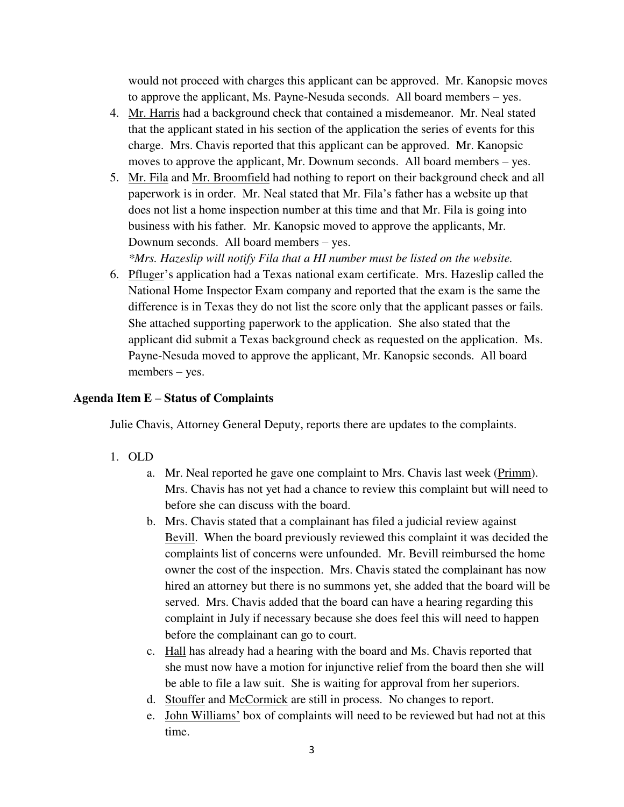would not proceed with charges this applicant can be approved. Mr. Kanopsic moves to approve the applicant, Ms. Payne-Nesuda seconds. All board members – yes.

- 4. Mr. Harris had a background check that contained a misdemeanor. Mr. Neal stated that the applicant stated in his section of the application the series of events for this charge. Mrs. Chavis reported that this applicant can be approved. Mr. Kanopsic moves to approve the applicant, Mr. Downum seconds. All board members – yes.
- 5. Mr. Fila and Mr. Broomfield had nothing to report on their background check and all paperwork is in order. Mr. Neal stated that Mr. Fila's father has a website up that does not list a home inspection number at this time and that Mr. Fila is going into business with his father. Mr. Kanopsic moved to approve the applicants, Mr. Downum seconds. All board members – yes.

*\*Mrs. Hazeslip will notify Fila that a HI number must be listed on the website.* 

6. Pfluger's application had a Texas national exam certificate. Mrs. Hazeslip called the National Home Inspector Exam company and reported that the exam is the same the difference is in Texas they do not list the score only that the applicant passes or fails. She attached supporting paperwork to the application. She also stated that the applicant did submit a Texas background check as requested on the application. Ms. Payne-Nesuda moved to approve the applicant, Mr. Kanopsic seconds. All board members – yes.

#### **Agenda Item E – Status of Complaints**

Julie Chavis, Attorney General Deputy, reports there are updates to the complaints.

- 1. OLD
	- a. Mr. Neal reported he gave one complaint to Mrs. Chavis last week (Primm). Mrs. Chavis has not yet had a chance to review this complaint but will need to before she can discuss with the board.
	- b. Mrs. Chavis stated that a complainant has filed a judicial review against Bevill. When the board previously reviewed this complaint it was decided the complaints list of concerns were unfounded. Mr. Bevill reimbursed the home owner the cost of the inspection. Mrs. Chavis stated the complainant has now hired an attorney but there is no summons yet, she added that the board will be served. Mrs. Chavis added that the board can have a hearing regarding this complaint in July if necessary because she does feel this will need to happen before the complainant can go to court.
	- c. Hall has already had a hearing with the board and Ms. Chavis reported that she must now have a motion for injunctive relief from the board then she will be able to file a law suit. She is waiting for approval from her superiors.
	- d. Stouffer and McCormick are still in process. No changes to report.
	- e. John Williams' box of complaints will need to be reviewed but had not at this time.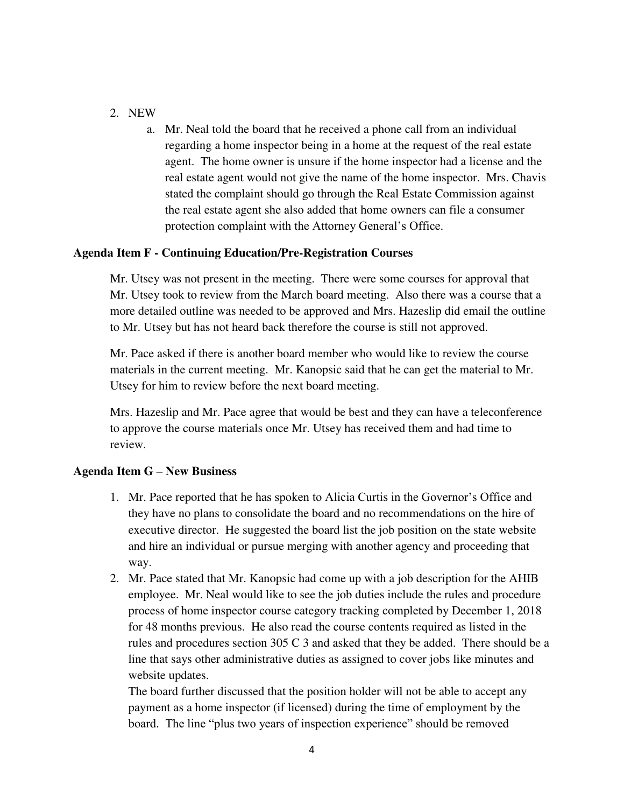## 2. NEW

a. Mr. Neal told the board that he received a phone call from an individual regarding a home inspector being in a home at the request of the real estate agent. The home owner is unsure if the home inspector had a license and the real estate agent would not give the name of the home inspector. Mrs. Chavis stated the complaint should go through the Real Estate Commission against the real estate agent she also added that home owners can file a consumer protection complaint with the Attorney General's Office.

## **Agenda Item F - Continuing Education/Pre-Registration Courses**

Mr. Utsey was not present in the meeting. There were some courses for approval that Mr. Utsey took to review from the March board meeting. Also there was a course that a more detailed outline was needed to be approved and Mrs. Hazeslip did email the outline to Mr. Utsey but has not heard back therefore the course is still not approved.

Mr. Pace asked if there is another board member who would like to review the course materials in the current meeting. Mr. Kanopsic said that he can get the material to Mr. Utsey for him to review before the next board meeting.

Mrs. Hazeslip and Mr. Pace agree that would be best and they can have a teleconference to approve the course materials once Mr. Utsey has received them and had time to review.

#### **Agenda Item G – New Business**

- 1. Mr. Pace reported that he has spoken to Alicia Curtis in the Governor's Office and they have no plans to consolidate the board and no recommendations on the hire of executive director. He suggested the board list the job position on the state website and hire an individual or pursue merging with another agency and proceeding that way.
- 2. Mr. Pace stated that Mr. Kanopsic had come up with a job description for the AHIB employee. Mr. Neal would like to see the job duties include the rules and procedure process of home inspector course category tracking completed by December 1, 2018 for 48 months previous. He also read the course contents required as listed in the rules and procedures section 305 C 3 and asked that they be added. There should be a line that says other administrative duties as assigned to cover jobs like minutes and website updates.

The board further discussed that the position holder will not be able to accept any payment as a home inspector (if licensed) during the time of employment by the board. The line "plus two years of inspection experience" should be removed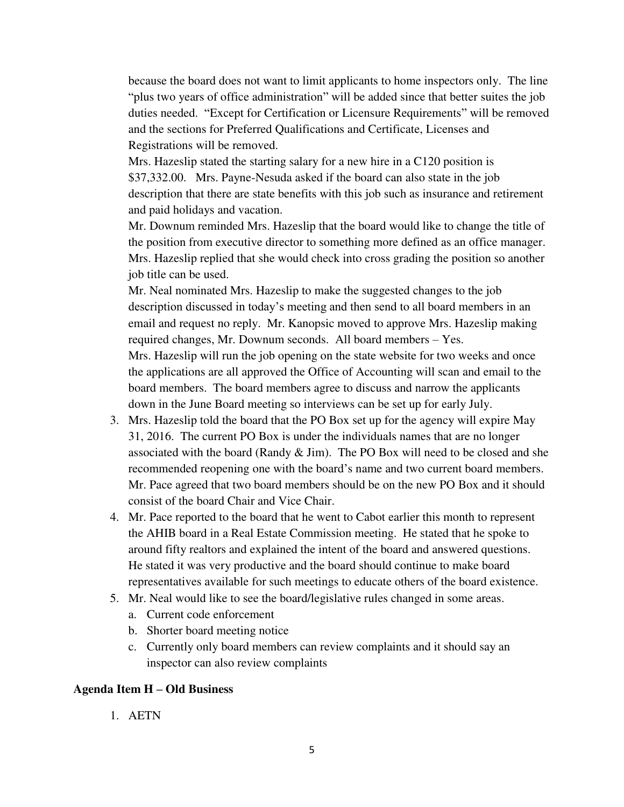because the board does not want to limit applicants to home inspectors only. The line "plus two years of office administration" will be added since that better suites the job duties needed. "Except for Certification or Licensure Requirements" will be removed and the sections for Preferred Qualifications and Certificate, Licenses and Registrations will be removed.

Mrs. Hazeslip stated the starting salary for a new hire in a C120 position is \$37,332.00. Mrs. Payne-Nesuda asked if the board can also state in the job description that there are state benefits with this job such as insurance and retirement and paid holidays and vacation.

Mr. Downum reminded Mrs. Hazeslip that the board would like to change the title of the position from executive director to something more defined as an office manager. Mrs. Hazeslip replied that she would check into cross grading the position so another job title can be used.

Mr. Neal nominated Mrs. Hazeslip to make the suggested changes to the job description discussed in today's meeting and then send to all board members in an email and request no reply. Mr. Kanopsic moved to approve Mrs. Hazeslip making required changes, Mr. Downum seconds. All board members – Yes. Mrs. Hazeslip will run the job opening on the state website for two weeks and once the applications are all approved the Office of Accounting will scan and email to the board members. The board members agree to discuss and narrow the applicants down in the June Board meeting so interviews can be set up for early July.

- 3. Mrs. Hazeslip told the board that the PO Box set up for the agency will expire May 31, 2016. The current PO Box is under the individuals names that are no longer associated with the board (Randy & Jim). The PO Box will need to be closed and she recommended reopening one with the board's name and two current board members. Mr. Pace agreed that two board members should be on the new PO Box and it should consist of the board Chair and Vice Chair.
- 4. Mr. Pace reported to the board that he went to Cabot earlier this month to represent the AHIB board in a Real Estate Commission meeting. He stated that he spoke to around fifty realtors and explained the intent of the board and answered questions. He stated it was very productive and the board should continue to make board representatives available for such meetings to educate others of the board existence.
- 5. Mr. Neal would like to see the board/legislative rules changed in some areas.
	- a. Current code enforcement
	- b. Shorter board meeting notice
	- c. Currently only board members can review complaints and it should say an inspector can also review complaints

#### **Agenda Item H – Old Business**

1. AETN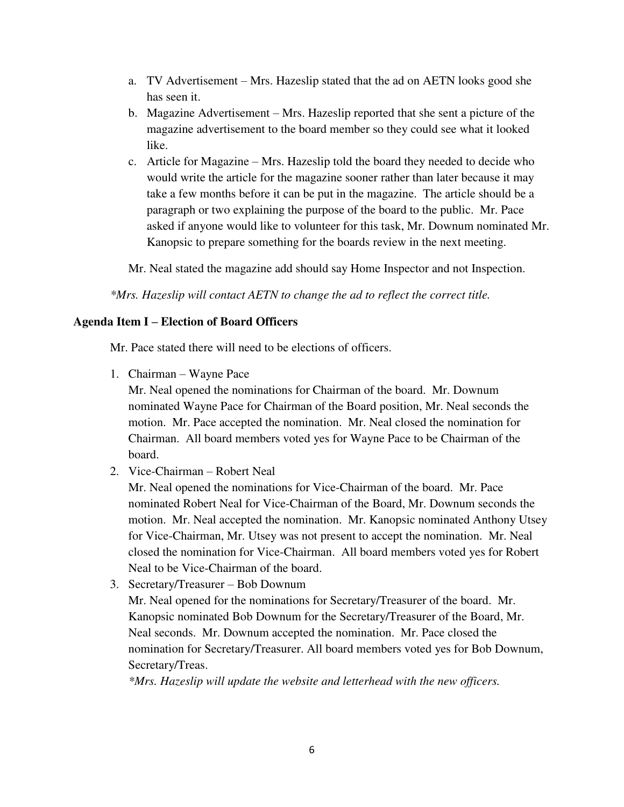- a. TV Advertisement Mrs. Hazeslip stated that the ad on AETN looks good she has seen it.
- b. Magazine Advertisement Mrs. Hazeslip reported that she sent a picture of the magazine advertisement to the board member so they could see what it looked like.
- c. Article for Magazine Mrs. Hazeslip told the board they needed to decide who would write the article for the magazine sooner rather than later because it may take a few months before it can be put in the magazine. The article should be a paragraph or two explaining the purpose of the board to the public. Mr. Pace asked if anyone would like to volunteer for this task, Mr. Downum nominated Mr. Kanopsic to prepare something for the boards review in the next meeting.

Mr. Neal stated the magazine add should say Home Inspector and not Inspection.

*\*Mrs. Hazeslip will contact AETN to change the ad to reflect the correct title.*

## **Agenda Item I – Election of Board Officers**

Mr. Pace stated there will need to be elections of officers.

1. Chairman – Wayne Pace

Mr. Neal opened the nominations for Chairman of the board. Mr. Downum nominated Wayne Pace for Chairman of the Board position, Mr. Neal seconds the motion. Mr. Pace accepted the nomination. Mr. Neal closed the nomination for Chairman. All board members voted yes for Wayne Pace to be Chairman of the board.

2. Vice-Chairman – Robert Neal

Mr. Neal opened the nominations for Vice-Chairman of the board. Mr. Pace nominated Robert Neal for Vice-Chairman of the Board, Mr. Downum seconds the motion. Mr. Neal accepted the nomination. Mr. Kanopsic nominated Anthony Utsey for Vice-Chairman, Mr. Utsey was not present to accept the nomination. Mr. Neal closed the nomination for Vice-Chairman. All board members voted yes for Robert Neal to be Vice-Chairman of the board.

3. Secretary/Treasurer – Bob Downum

Mr. Neal opened for the nominations for Secretary/Treasurer of the board. Mr. Kanopsic nominated Bob Downum for the Secretary/Treasurer of the Board, Mr. Neal seconds. Mr. Downum accepted the nomination. Mr. Pace closed the nomination for Secretary/Treasurer. All board members voted yes for Bob Downum, Secretary/Treas.

*\*Mrs. Hazeslip will update the website and letterhead with the new officers.*